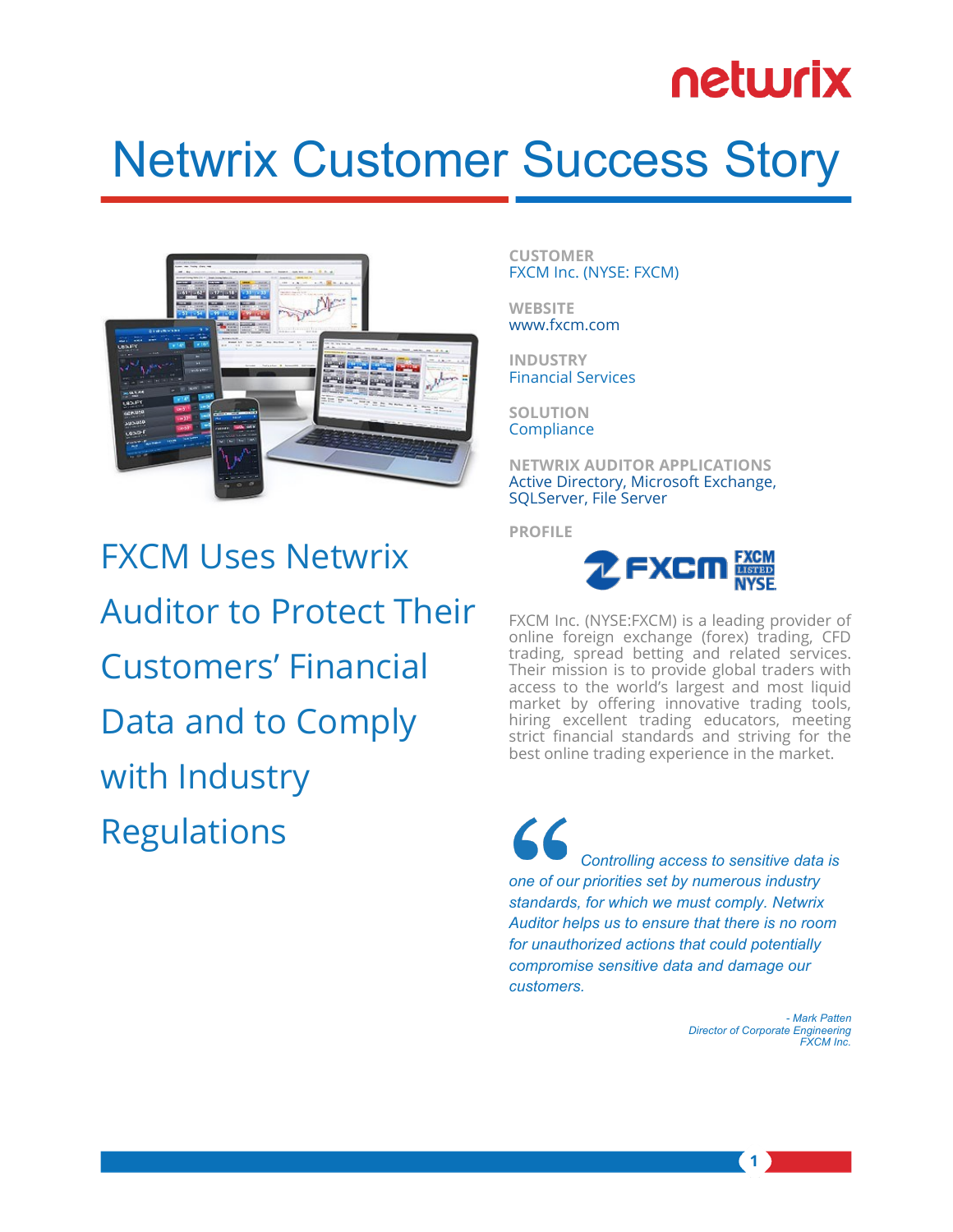# netwrix

# Netwrix Customer Success Story



FXCM Uses Netwrix Auditor to Protect Their Customers' Financial Data and to Comply with Industry Regulations

**CUSTOMER** FXCM Inc. (NYSE: FXCM)

**WEBSITE** [www.fxcm.com](http://www.fxcm.com)

**INDUSTRY** Financial Services

**SOLUTION Compliance** 

**NETWRIX AUDITOR APPLICATIONS** [Active Directory, Microsoft Exchange,](http://www.netwrix.com/complete_visibility_of_it_systems.html)  [SQLServer, File Server](http://www.netwrix.com/complete_visibility_of_it_systems.html)

**PROFILE**



FXCM Inc. (NYSE:FXCM) is a leading provider of online foreign exchange (forex) trading, CFD trading, spread betting and related services. Their mission is to provide global traders with access to the world's largest and most liquid market by offering innovative trading tools, hiring excellent trading educators, meeting strict financial standards and striving for the best online trading experience in the market.

 $\mathcal{L}\mathcal{L}$  *Controlling access to sensitive data is one of our priorities set by numerous industry standards, for which we must comply. Netwrix Auditor helps us to ensure that there is no room for unauthorized actions that could potentially compromise sensitive data and damage our customers.* 

> *- Mark Patten Director of Corporate Engineering FXCM Inc.*

> > **1**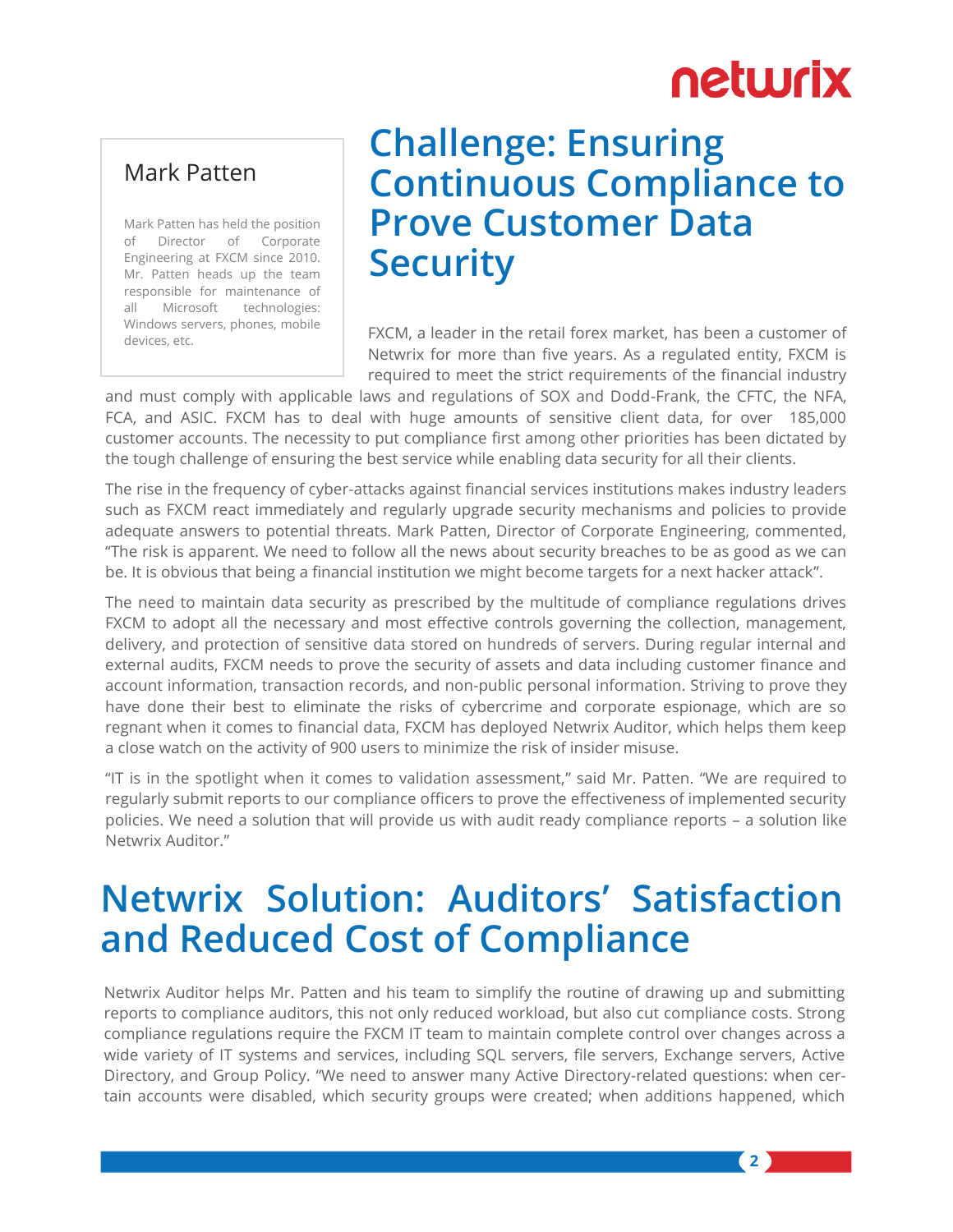## netwrix

**2**

#### Mark Patten

Mark Patten has held the position of Director of Corporate Engineering at FXCM since 2010. Mr. Patten heads up the team responsible for maintenance of all Microsoft technologies: Windows servers, phones, mobile devices, etc.

#### **Challenge: Ensuring Continuous Compliance to Prove Customer Data Security**

FXCM, a leader in the retail forex market, has been a customer of Netwrix for more than five years. As a regulated entity, FXCM is required to meet the strict requirements of the financial industry

and must comply with applicable laws and regulations of SOX and Dodd-Frank, the CFTC, the NFA, FCA, and ASIC. FXCM has to deal with huge amounts of sensitive client data, for over 185,000 customer accounts. The necessity to put compliance first among other priorities has been dictated by the tough challenge of ensuring the best service while enabling data security for all their clients.

The rise in the frequency of cyber-attacks against financial services institutions makes industry leaders such as FXCM react immediately and regularly upgrade security mechanisms and policies to provide adequate answers to potential threats. Mark Patten, Director of Corporate Engineering, commented, "The risk is apparent. We need to follow all the news about security breaches to be as good as we can be. It is obvious that being a financial institution we might become targets for a next hacker attack".

The need to maintain data security as prescribed by the multitude of compliance regulations drives FXCM to adopt all the necessary and most effective controls governing the collection, management, delivery, and protection of sensitive data stored on hundreds of servers. During regular internal and external audits, FXCM needs to prove the security of assets and data including customer finance and account information, transaction records, and non-public personal information. Striving to prove they have done their best to eliminate the risks of cybercrime and corporate espionage, which are so regnant when it comes to financial data, FXCM has deployed Netwrix Auditor, which helps them keep a close watch on the activity of 900 users to minimize the risk of insider misuse.

"IT is in the spotlight when it comes to validation assessment," said Mr. Patten. "We are required to regularly submit reports to our compliance officers to prove the effectiveness of implemented security policies. We need a solution that will provide us with audit ready compliance reports – a solution like Netwrix Auditor."

## **Netwrix Solution: Auditors' Satisfaction and Reduced Cost of Compliance**

Netwrix Auditor helps Mr. Patten and his team to simplify the routine of drawing up and submitting reports to compliance auditors, this not only reduced workload, but also cut compliance costs. Strong compliance regulations require the FXCM IT team to maintain complete control over changes across a wide variety of IT systems and services, including SQL servers, file servers, Exchange servers, Active Directory, and Group Policy. "We need to answer many Active Directory-related questions: when certain accounts were disabled, which security groups were created; when additions happened, which